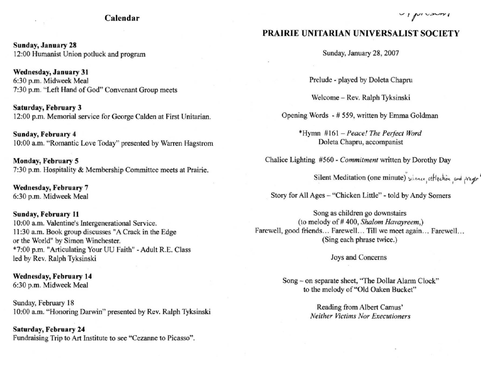### Calendar

 $\nu$ 

## PRAIRIE UNITARIAN UNIVERSALIST SOCIETY

Sunday, January 28, 2007

Prelude - played by Doleta Chapm

Welcome - Rev. Ralph Tyksinski

Opening Words - # 559, written by Emma Goldman

·Hymn #161 - *Peace! The Perfect Word*  Doleta Chapru, accompanist

Chalice Lighting #560 - *Commitment* written by Dorothy Day

 $Silent Medium (one minute)$  silence,  $reflectin, and *praylor*$ 

Story for All Ages - "Chicken Little" - told by Andy Somers

Song as children go downstairs (to melody of # 400, *Shalom Havayreem,)*  Farewell, good friends... Farewell... Till we meet again... Farewell... (Sing each phrase twice.)

Joys and Concerns

Song - on separate sheet, "The Dollar Alarm Clock" to the melody of "Old Oaken Bucket"

> Reading from Albert Camus' *Neither Victims Nor Executioners*

Sunday, January 28 12:00 Humanist Union potluck and program

Wednesday, January 31 6:30 p.m. Midweek Meal 7:30 p.m. "Left Hand of God" Convenant Group meets

Saturday, February 3 12:00 p.m. Memorial service for George Calden at First Unitarian.

Sunday, February 4 10:00 a.m. "Romantic Love Today" presented by Warren Hagstrom

Monday, February 5 7:30 p.m. Hospitality & Membership Committee meets at Prairie.

Wednesday, February 7 6:30 p.m. Midweek Meal

Sunday, February 11 10:00 a.m. Valentine's Intergenerational Service.

II :30 a.m. Book group discusses "A Crack in the Edge or the World" by Simon Winchester. ·7:00 p.m. "Articulating Your UU Faith" - Adult R.E. Class led by Rev. Ralph Tyksinski

Wednesday, February 14 6:30 p.m. Midweek Meal

Sunday, February 18 10:00 a.m. "Honoring Darwin" presented by Rev. Ralph Tyksinski

Saturday, February 24 Fundraising Trip to Art Institute to see "Cezanne to Picasso".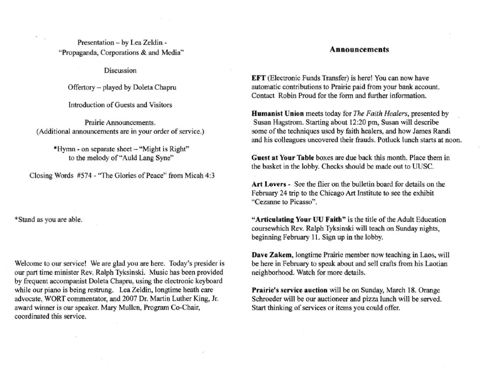Presentation - by Lea Zeldin - " Propaganda, Corporations & and Media"

Discussion

Offertory - played by Doleta Chapru

Introduction of Guests and Visitors

Prairie Announcements. (Additional announcements are in your order of service.)

> ·Hymn - on separate sheet - "Might is Right" to the melody of "Auld Lang Syne"

Closing Words #574 - "The Glories of Peace" from Micah 4:3

·Stand as you are able.

Welcome to our service! We are glad you are here. Today's presider is our part time minister Rev. Ralph Tyksinski. Music has been provided by frequent accompanist Doleta Chapru, using the electronic keyboard while our piano is being restrung. Lea Zeldin, longtime heath care advocate, WORT commentator, and 2007 Dr. Martin Luther King, Jr. award winner is our speaker. Mary Mullen, Program Co-Chair, coordinated this service.

### Announcements

EFT (Electronic Funds Transfer) is here! You can now have automatic contributions to Prairie paid from your bank account. Contact Robin Proud for the form and further information.

Humanist Union meets today for *The Faith Healers,* presented by Susan Hagstrom. Starting about 12:20 pm, Susan will describe some of the techniques used by faith healers, and how James Randi and his colleagues uncovered their frauds. Potluck lunch starts at noon.

Guest at Your Table boxes are due back this month. Place them in the basket in the lobby. Checks should be made out to UUSC.

Art Lovers - See the flier on the bulletin board for details on the February 24 trip to the Chicago Art Institute to see the exhibit "Cezanne to Picasso".

"Articulating Your UU Faith" is the title of the Adult Education coursewhich Rev. Ralph Tyksinski will teach on Sunday nights, beginning February 11. Sign up in the lobby.

Dave Zakem, longtime Prairie member now teaching in Laos, will be here in February to speak about and sell crafts from his Laotian neighborhood. Watch for more details.

Prairie's service auction will be on Sunday, March 18. Orange Schroeder will he our auctioneer and pizza lunch will be served. Start thinking of services or items you could offer.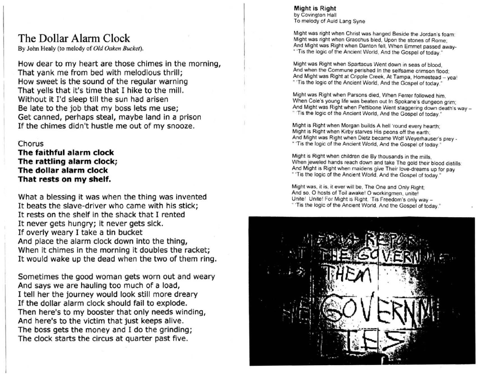# The Dollar Alarm Clock

By John Healy (to melody of *Old Oaken BUcket).* 

How dear to my heart are those chimes in the morning, That yank me from bed with melodious thrill; How sweet is the sound of the regular warning That yells that it's time that I hike to the mill. Without it I'd sleep till the sun had arisen Be late to the job that my boss lets me use; Get canned, perhaps steal, maybe land in a prison If the chimes didn't hustle me out of my snooze.

### Chorus

The faithful alarm clock The rattling alarm clock; The dollar alarm clock That rests on my shelf.

What a blessing it was when the thing was invented It beats the slave-driver who came with his stick; It rests on the shelf in the shack that I rented It never gets hungry; it never gets sick. If overly weary I take a tin bucket And place the alarm clock down into the thing, When it chimes in the morning it doubles the racket; It would wake up the dead when the two of them ring.

Sometimes the good woman gets worn out and weary And says we are hauling too much of a load, I tell her the journey would look still more dreary If the dollar alarm clock should fail to explode. Then here's to my booster that only needs winding, And here's to the victim that just keeps alive. The boss gets the money and I do the grinding; The clock starts the circus at quarter past five.

Might is Right by Covington Hall To melody of Auld lang Syne

Might was right when Christ was hanged Beside the Jordan's foam: Might was right when Gracchus bled, Upon the stones of Rome;<br>And Might was Right when Danton fell, When Emmet passed away-" 'Tis the logic of the Ancient World. And the Gospel of today "

Might was Righi when Spartacus Went down in seas of blood, And when the Commune perished In the selfsame crimson flood: And Might was Right at Cripple Creek, At Tampa, Homestead - yea! • 'Tis the logic of the Ancient World, And the Gospel of loday,"

Might was Right when Parsons died. When Ferrer followed him, When Cole's young life was beaten out In Spokane's dungeon grim; And Might was Right when Pettibone Went staggering down death's way -" 'Tis the logic of the Ancient World, And the Gospel of today."

Might is Right when Morgan builds A hell 'round every hearth; Might is Right when Kirby starves His peons off the earth; And Might was Right when Dietz became Wolf Weyerhauser's prey -" 'Tis the logic of the Ancient World, And the Gospel of today."

Might is Right when children die By thousands in the mills, When jeweled hands reach down and take The gold their blood distills. And Might is Right when maidens give Their love-dreams up for pay " 'Tis the logic of the Ancient World, And the Gospel of today."

Might was, it is, it ever will be, The One and Only Right: And so, O hosts of Toil awake! O workingmen, unite! Unite! Unite! For Might is Right. Tis Freedom's only way -" 'Tis the logic of the Ancient World, And the Gospel of today."